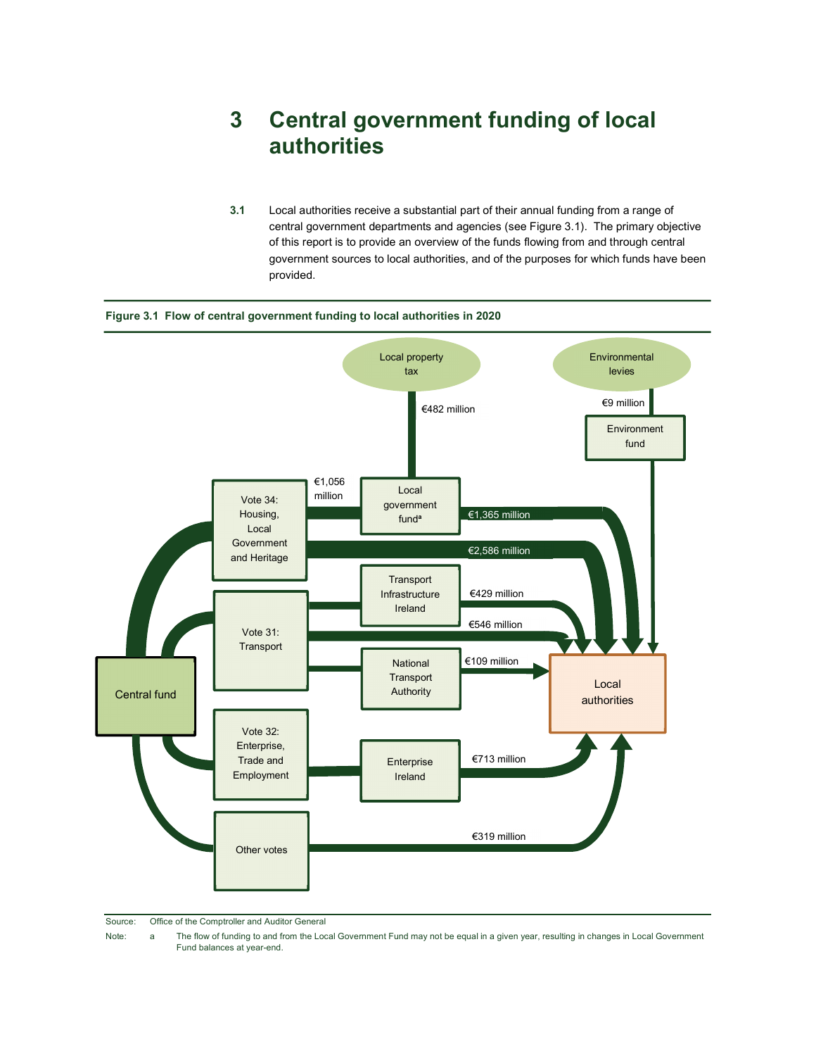# 3 Central government funding of local authorities

3.1 Local authorities receive a substantial part of their annual funding from a range of central government departments and agencies (see Figure 3.1). The primary objective of this report is to provide an overview of the funds flowing from and through central government sources to local authorities, and of the purposes for which funds have been provided.



#### Figure 3.1 Flow of central government funding to local authorities in 2020

Source: Office of the Comptroller and Auditor General

Note: a The flow of funding to and from the Local Government Fund may not be equal in a given year, resulting in changes in Local Government Fund balances at year-end.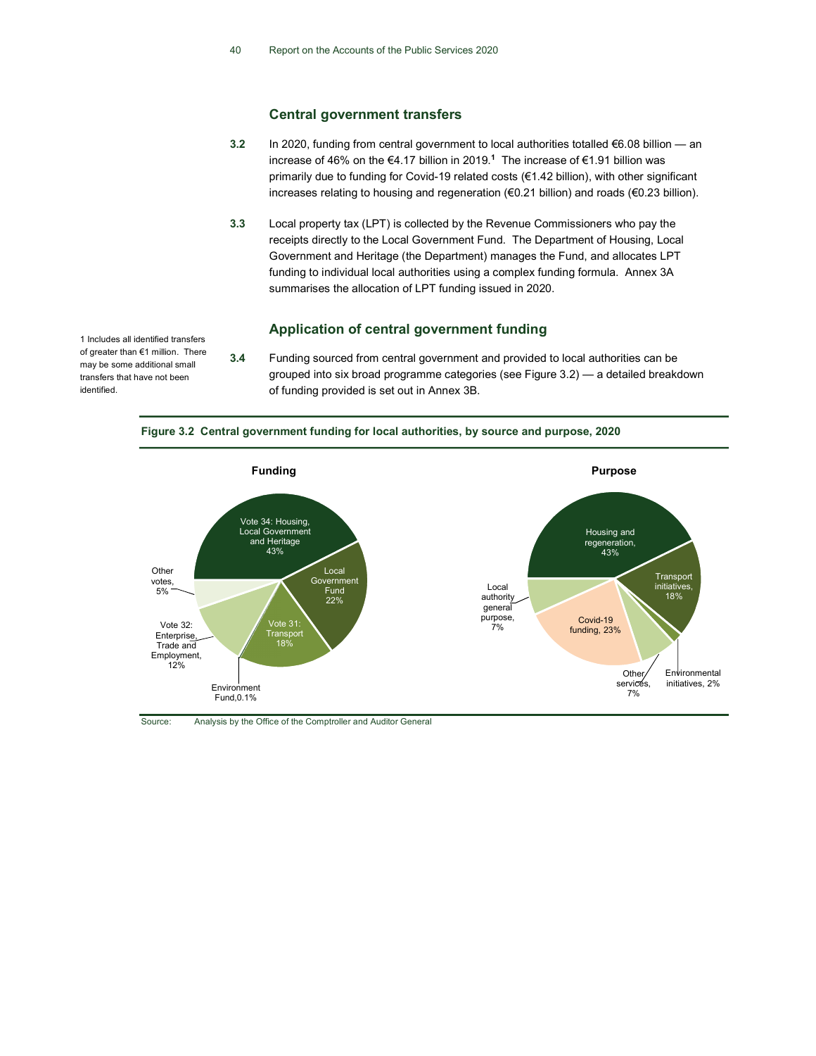#### Central government transfers

- 3.2 In 2020, funding from central government to local authorities totalled €6.08 billion an increase of 46% on the €4.17 billion in 2019.<sup>1</sup> The increase of €1.91 billion was primarily due to funding for Covid-19 related costs (€1.42 billion), with other significant increases relating to housing and regeneration (€0.21 billion) and roads (€0.23 billion).
- 3.3 Local property tax (LPT) is collected by the Revenue Commissioners who pay the receipts directly to the Local Government Fund. The Department of Housing, Local Government and Heritage (the Department) manages the Fund, and allocates LPT funding to individual local authorities using a complex funding formula. Annex 3A summarises the allocation of LPT funding issued in 2020.

## Application of central government funding

3.4 Funding sourced from central government and provided to local authorities can be grouped into six broad programme categories (see Figure 3.2) — a detailed breakdown of funding provided is set out in Annex 3B.

Figure 3.2 Central government funding for local authorities, by source and purpose, 2020



Source: Analysis by the Office of the Comptroller and Auditor General

1 Includes all identified transfers of greater than €1 million. There may be some additional small transfers that have not been identified.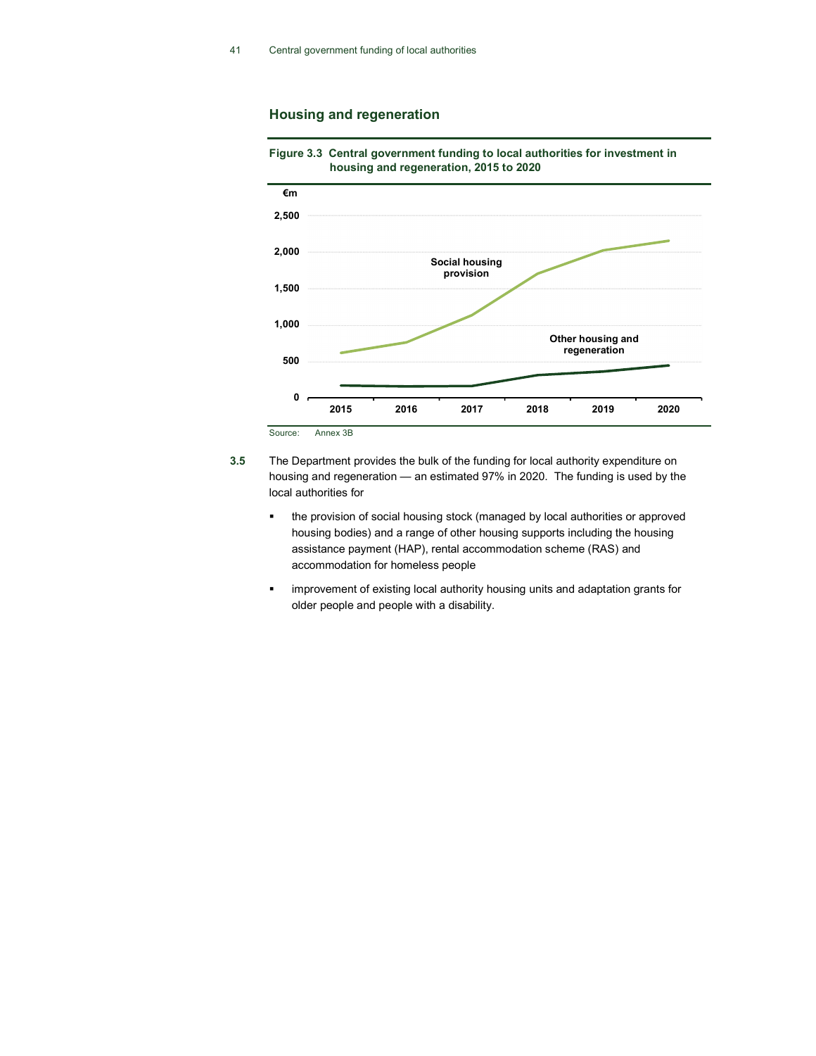## Housing and regeneration



Figure 3.3 Central government funding to local authorities for investment in housing and regeneration, 2015 to 2020

- 3.5 The Department provides the bulk of the funding for local authority expenditure on housing and regeneration — an estimated 97% in 2020. The funding is used by the local authorities for
	- the provision of social housing stock (managed by local authorities or approved housing bodies) and a range of other housing supports including the housing assistance payment (HAP), rental accommodation scheme (RAS) and accommodation for homeless people
	- **EXED improvement of existing local authority housing units and adaptation grants for** older people and people with a disability.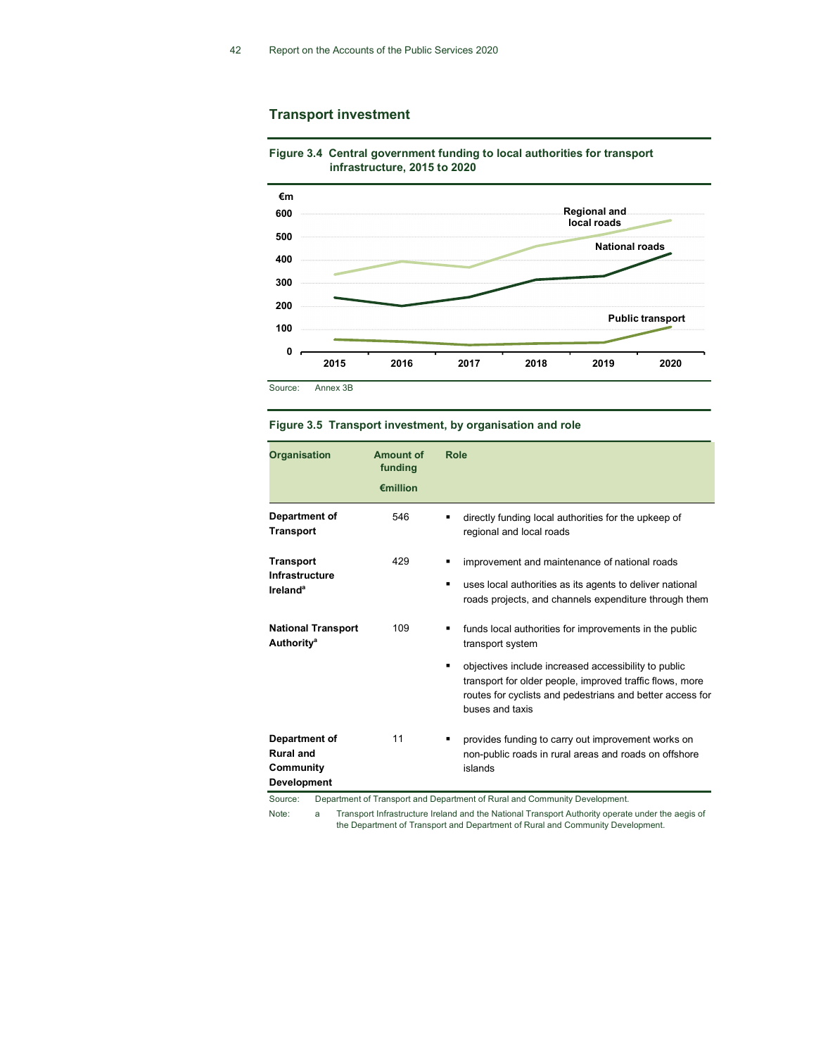## Transport investment



Figure 3.4 Central government funding to local authorities for transport infrastructure, 2015 to 2020

|  |  | Figure 3.5 Transport investment, by organisation and role |  |  |  |
|--|--|-----------------------------------------------------------|--|--|--|
|--|--|-----------------------------------------------------------|--|--|--|

| <b>Organisation</b>                                                      | <b>Amount of</b><br>funding<br>€million | <b>Role</b>                                                                                                                                                                                         |
|--------------------------------------------------------------------------|-----------------------------------------|-----------------------------------------------------------------------------------------------------------------------------------------------------------------------------------------------------|
| Department of<br><b>Transport</b>                                        | 546                                     | directly funding local authorities for the upkeep of<br>regional and local roads                                                                                                                    |
| <b>Transport</b><br>Infrastructure<br><b>Ireland</b> <sup>a</sup>        | 429                                     | improvement and maintenance of national roads<br>uses local authorities as its agents to deliver national<br>٠<br>roads projects, and channels expenditure through them                             |
| <b>National Transport</b><br><b>Authority<sup>a</sup></b>                | 109                                     | funds local authorities for improvements in the public<br>transport system<br>objectives include increased accessibility to public<br>٠                                                             |
|                                                                          |                                         | transport for older people, improved traffic flows, more<br>routes for cyclists and pedestrians and better access for<br>buses and taxis                                                            |
| Department of<br><b>Rural and</b><br>Community<br>Development<br>Source: | 11                                      | provides funding to carry out improvement works on<br>non-public roads in rural areas and roads on offshore<br>islands<br>Department of Transport and Department of Pural and Community Development |

Department of Transport and Department of Rural and Community Development.

Note: a Transport Infrastructure Ireland and the National Transport Authority operate under the aegis of the Department of Transport and Department of Rural and Community Development.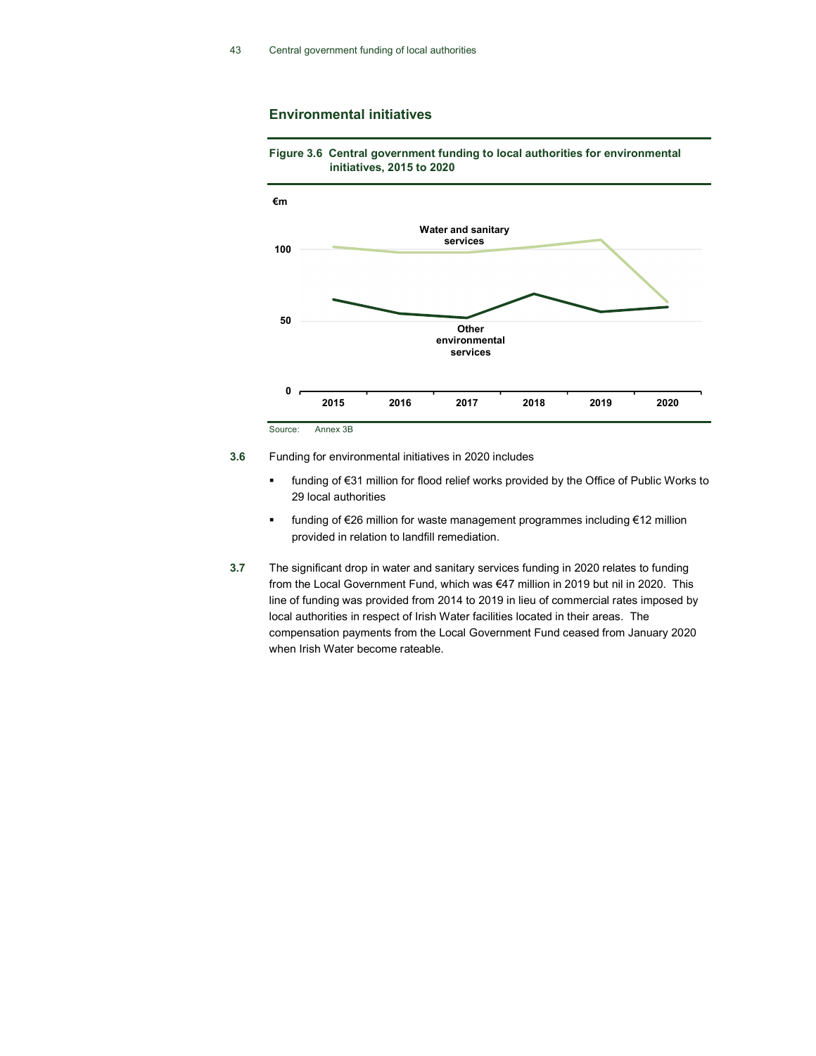### Environmental initiatives





- funding of €31 million for flood relief works provided by the Office of Public Works to 29 local authorities
- funding of €26 million for waste management programmes including €12 million provided in relation to landfill remediation.
- 3.7 The significant drop in water and sanitary services funding in 2020 relates to funding from the Local Government Fund, which was €47 million in 2019 but nil in 2020. This line of funding was provided from 2014 to 2019 in lieu of commercial rates imposed by local authorities in respect of Irish Water facilities located in their areas. The compensation payments from the Local Government Fund ceased from January 2020 when Irish Water become rateable.

<sup>3.6</sup> Funding for environmental initiatives in 2020 includes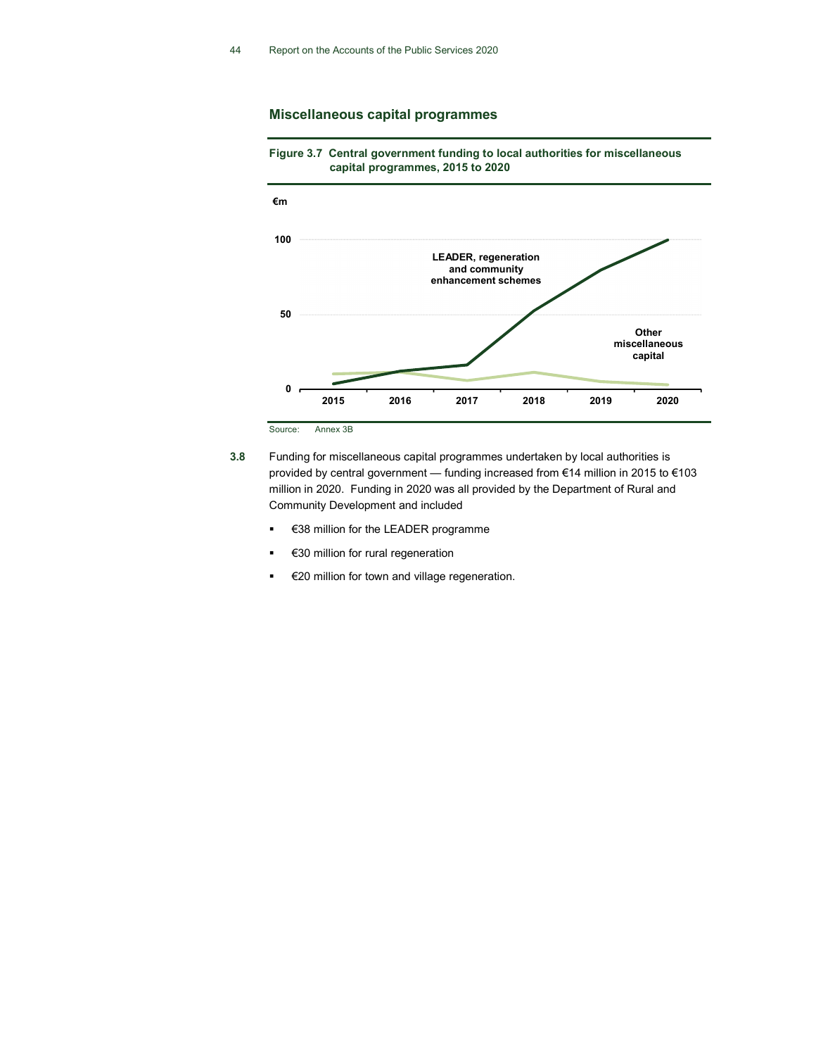## Miscellaneous capital programmes



Figure 3.7 Central government funding to local authorities for miscellaneous capital programmes, 2015 to 2020

Source: Annex 3B

- 3.8 Funding for miscellaneous capital programmes undertaken by local authorities is provided by central government — funding increased from €14 million in 2015 to €103 million in 2020. Funding in 2020 was all provided by the Department of Rural and Community Development and included
	- €38 million for the LEADER programme
	- €30 million for rural regeneration
	- €20 million for town and village regeneration.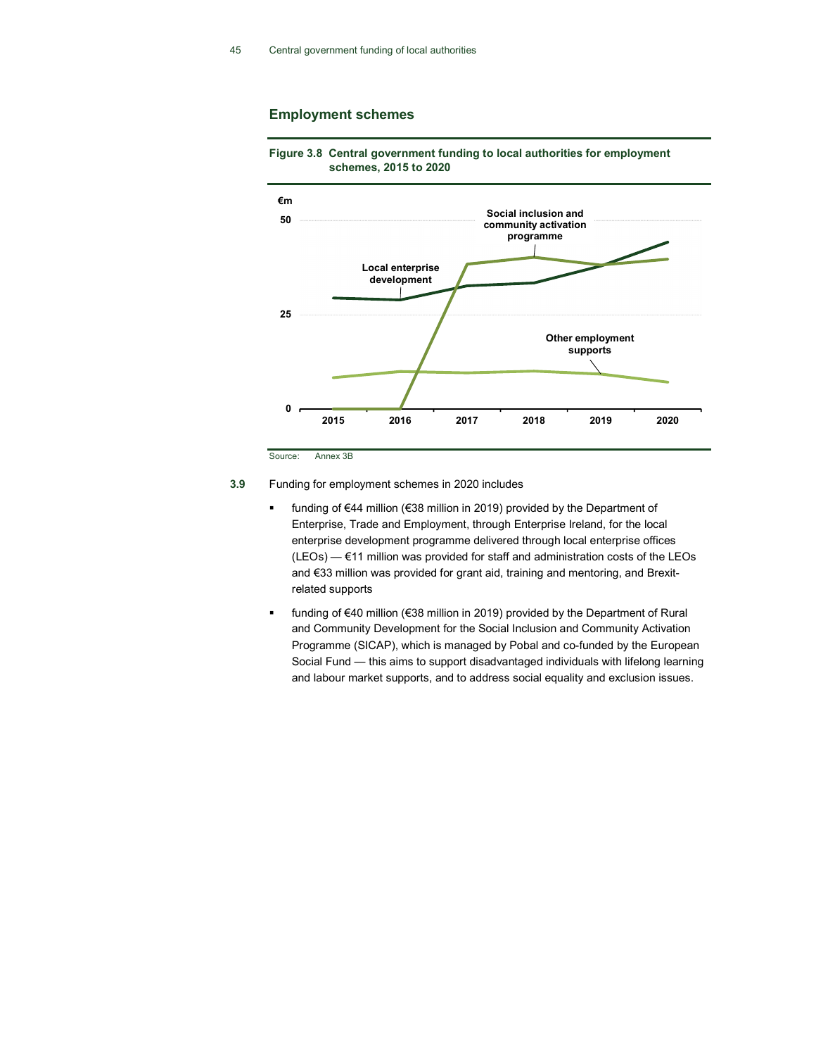#### Employment schemes





Source: Annex 3B

3.9 Funding for employment schemes in 2020 includes

- funding of €44 million (€38 million in 2019) provided by the Department of Enterprise, Trade and Employment, through Enterprise Ireland, for the local enterprise development programme delivered through local enterprise offices (LEOs) — €11 million was provided for staff and administration costs of the LEOs and €33 million was provided for grant aid, training and mentoring, and Brexitrelated supports
- funding of €40 million (€38 million in 2019) provided by the Department of Rural and Community Development for the Social Inclusion and Community Activation Programme (SICAP), which is managed by Pobal and co-funded by the European Social Fund — this aims to support disadvantaged individuals with lifelong learning and labour market supports, and to address social equality and exclusion issues.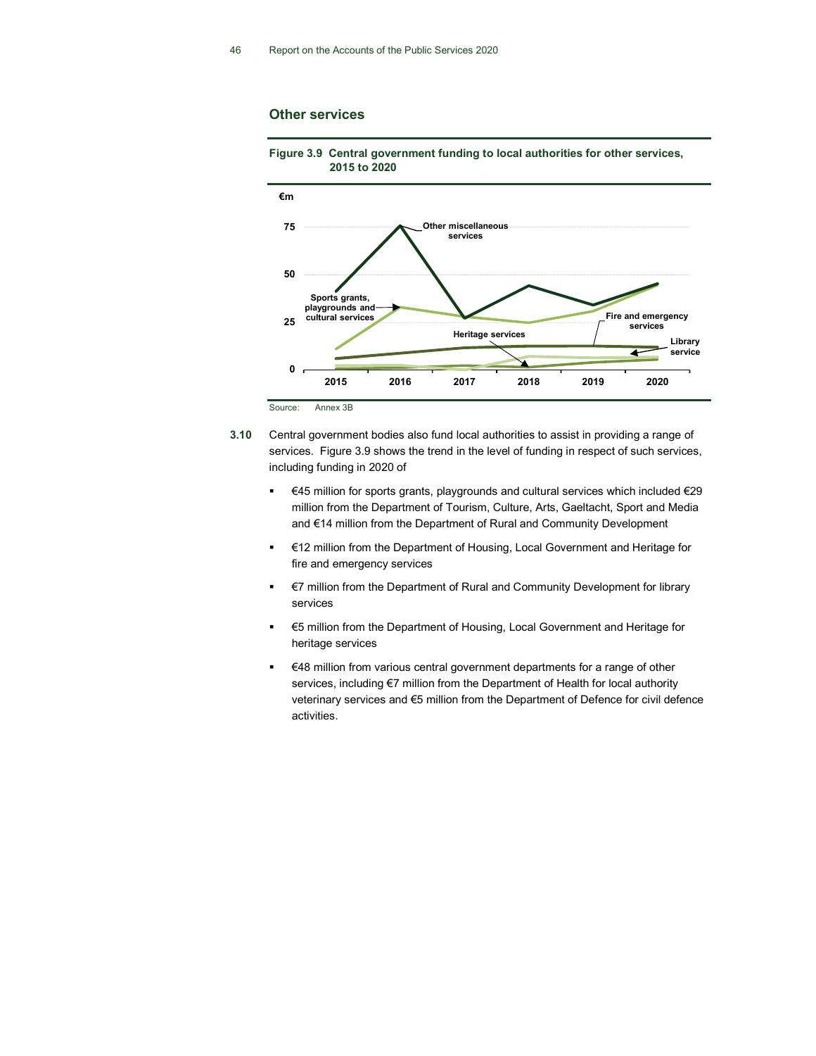#### Other services



Figure 3.9 Central government funding to local authorities for other services, 2015 to 2020

- 3.10 Central government bodies also fund local authorities to assist in providing a range of services. Figure 3.9 shows the trend in the level of funding in respect of such services, including funding in 2020 of
	- €45 million for sports grants, playgrounds and cultural services which included €29 million from the Department of Tourism, Culture, Arts, Gaeltacht, Sport and Media and €14 million from the Department of Rural and Community Development
	- **€12 million from the Department of Housing, Local Government and Heritage for** fire and emergency services
	- €7 million from the Department of Rural and Community Development for library services
	- €5 million from the Department of Housing, Local Government and Heritage for heritage services
	- €48 million from various central government departments for a range of other services, including €7 million from the Department of Health for local authority veterinary services and €5 million from the Department of Defence for civil defence activities.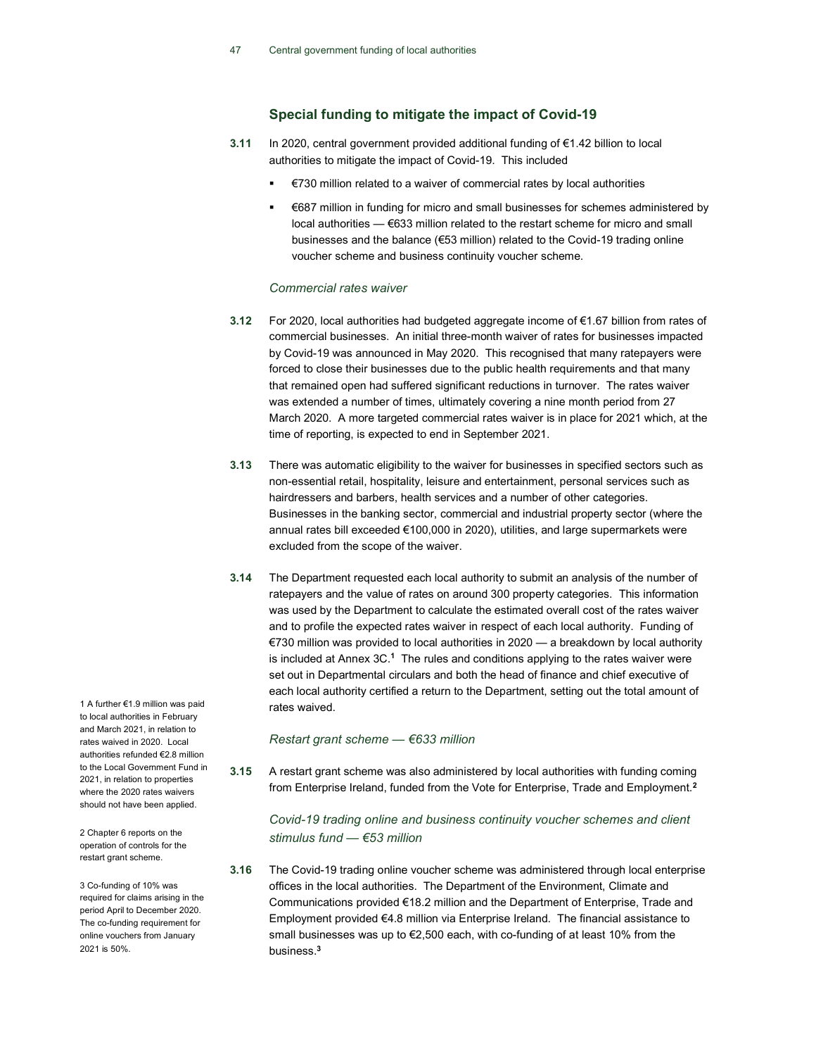## Special funding to mitigate the impact of Covid-19

- 3.11 In 2020, central government provided additional funding of €1.42 billion to local authorities to mitigate the impact of Covid-19. This included
	- €730 million related to a waiver of commercial rates by local authorities
	- €687 million in funding for micro and small businesses for schemes administered by local authorities — €633 million related to the restart scheme for micro and small businesses and the balance (€53 million) related to the Covid-19 trading online voucher scheme and business continuity voucher scheme.

#### Commercial rates waiver

- 3.12 For 2020, local authorities had budgeted aggregate income of €1.67 billion from rates of commercial businesses. An initial three-month waiver of rates for businesses impacted by Covid-19 was announced in May 2020. This recognised that many ratepayers were forced to close their businesses due to the public health requirements and that many that remained open had suffered significant reductions in turnover. The rates waiver was extended a number of times, ultimately covering a nine month period from 27 March 2020. A more targeted commercial rates waiver is in place for 2021 which, at the time of reporting, is expected to end in September 2021.
- 3.13 There was automatic eligibility to the waiver for businesses in specified sectors such as non-essential retail, hospitality, leisure and entertainment, personal services such as hairdressers and barbers, health services and a number of other categories. Businesses in the banking sector, commercial and industrial property sector (where the annual rates bill exceeded €100,000 in 2020), utilities, and large supermarkets were excluded from the scope of the waiver.
- 3.14 The Department requested each local authority to submit an analysis of the number of ratepayers and the value of rates on around 300 property categories. This information was used by the Department to calculate the estimated overall cost of the rates waiver and to profile the expected rates waiver in respect of each local authority. Funding of €730 million was provided to local authorities in 2020 — a breakdown by local authority is included at Annex 3C.<sup>1</sup> The rules and conditions applying to the rates waiver were set out in Departmental circulars and both the head of finance and chief executive of each local authority certified a return to the Department, setting out the total amount of rates waived.

#### Restart grant scheme — €633 million

3.15 A restart grant scheme was also administered by local authorities with funding coming from Enterprise Ireland, funded from the Vote for Enterprise, Trade and Employment.<sup>2</sup>

## Covid-19 trading online and business continuity voucher schemes and client stimulus fund — €53 million

3.16 The Covid-19 trading online voucher scheme was administered through local enterprise offices in the local authorities. The Department of the Environment, Climate and Communications provided €18.2 million and the Department of Enterprise, Trade and Employment provided €4.8 million via Enterprise Ireland. The financial assistance to small businesses was up to  $\epsilon$ 2,500 each, with co-funding of at least 10% from the business.<sup>3</sup>

1 A further €1.9 million was paid to local authorities in February and March 2021, in relation to rates waived in 2020. Local authorities refunded €2.8 million to the Local Government Fund in 2021, in relation to properties where the 2020 rates waivers should not have been applied.

2 Chapter 6 reports on the operation of controls for the restart grant scheme.

3 Co-funding of 10% was required for claims arising in the period April to December 2020. The co-funding requirement for online vouchers from January 2021 is 50%.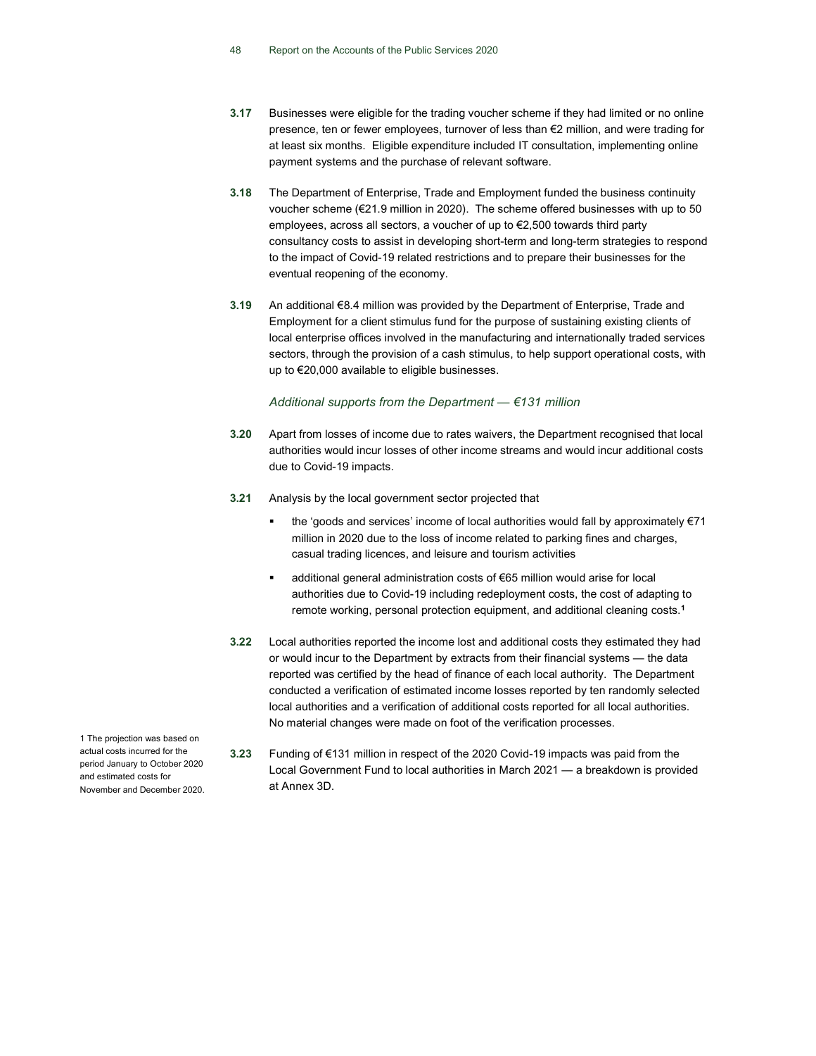- 3.17 Businesses were eligible for the trading voucher scheme if they had limited or no online presence, ten or fewer employees, turnover of less than €2 million, and were trading for at least six months. Eligible expenditure included IT consultation, implementing online payment systems and the purchase of relevant software.
- 3.18 The Department of Enterprise, Trade and Employment funded the business continuity voucher scheme (€21.9 million in 2020). The scheme offered businesses with up to 50 employees, across all sectors, a voucher of up to €2,500 towards third party consultancy costs to assist in developing short-term and long-term strategies to respond to the impact of Covid-19 related restrictions and to prepare their businesses for the eventual reopening of the economy.
- 3.19 An additional €8.4 million was provided by the Department of Enterprise, Trade and Employment for a client stimulus fund for the purpose of sustaining existing clients of local enterprise offices involved in the manufacturing and internationally traded services sectors, through the provision of a cash stimulus, to help support operational costs, with up to €20,000 available to eligible businesses.

#### Additional supports from the Department  $6131$  million

- 3.20 Apart from losses of income due to rates waivers, the Department recognised that local authorities would incur losses of other income streams and would incur additional costs due to Covid-19 impacts.
- 3.21 Analysis by the local government sector projected that
	- the 'goods and services' income of local authorities would fall by approximately €71 million in 2020 due to the loss of income related to parking fines and charges, casual trading licences, and leisure and tourism activities
	- additional general administration costs of €65 million would arise for local authorities due to Covid-19 including redeployment costs, the cost of adapting to remote working, personal protection equipment, and additional cleaning costs.<sup>1</sup>
- 3.22 Local authorities reported the income lost and additional costs they estimated they had or would incur to the Department by extracts from their financial systems — the data reported was certified by the head of finance of each local authority. The Department conducted a verification of estimated income losses reported by ten randomly selected local authorities and a verification of additional costs reported for all local authorities. No material changes were made on foot of the verification processes.
- 3.23 Funding of €131 million in respect of the 2020 Covid-19 impacts was paid from the Local Government Fund to local authorities in March 2021 — a breakdown is provided at Annex 3D.

1 The projection was based on actual costs incurred for the period January to October 2020 and estimated costs for November and December 2020.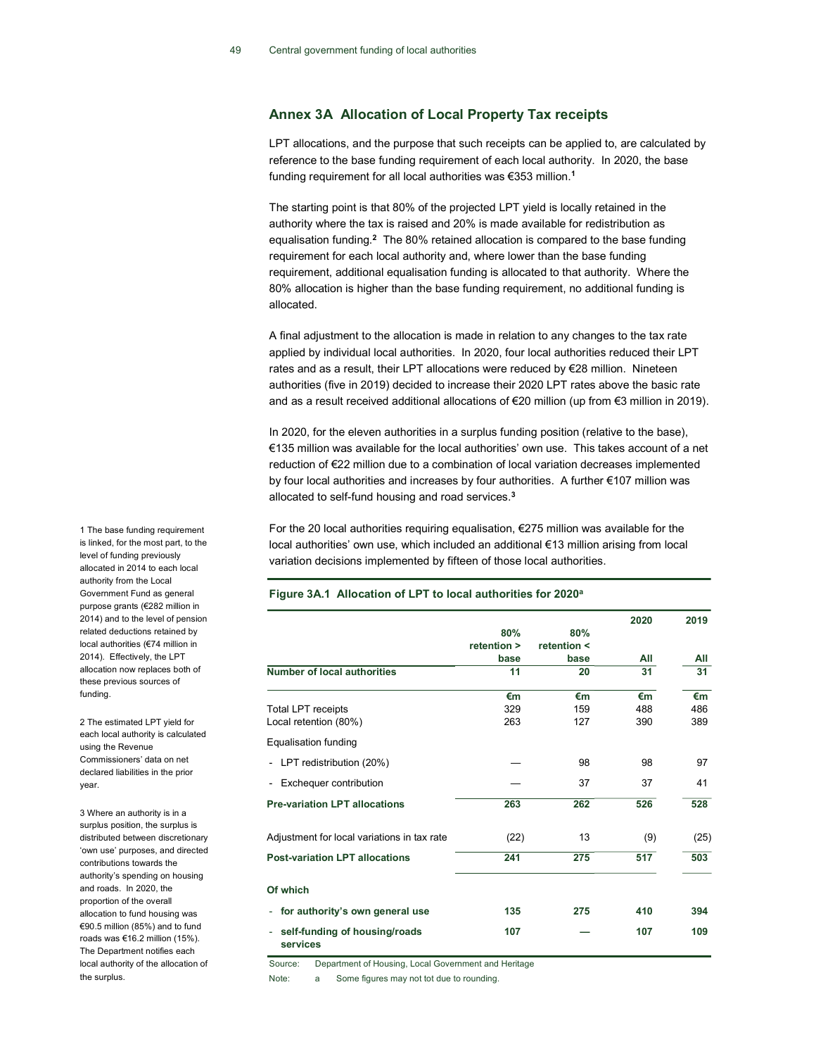## Annex 3A Allocation of Local Property Tax receipts

LPT allocations, and the purpose that such receipts can be applied to, are calculated by reference to the base funding requirement of each local authority. In 2020, the base funding requirement for all local authorities was €353 million.<sup>1</sup>

The starting point is that 80% of the projected LPT yield is locally retained in the authority where the tax is raised and 20% is made available for redistribution as equalisation funding.<sup>2</sup> The 80% retained allocation is compared to the base funding requirement for each local authority and, where lower than the base funding requirement, additional equalisation funding is allocated to that authority. Where the 80% allocation is higher than the base funding requirement, no additional funding is allocated.

A final adjustment to the allocation is made in relation to any changes to the tax rate applied by individual local authorities. In 2020, four local authorities reduced their LPT rates and as a result, their LPT allocations were reduced by €28 million. Nineteen authorities (five in 2019) decided to increase their 2020 LPT rates above the basic rate and as a result received additional allocations of €20 million (up from €3 million in 2019).

In 2020, for the eleven authorities in a surplus funding position (relative to the base), €135 million was available for the local authorities' own use. This takes account of a net reduction of €22 million due to a combination of local variation decreases implemented by four local authorities and increases by four authorities. A further €107 million was allocated to self-fund housing and road services.<sup>3</sup>

For the 20 local authorities requiring equalisation, €275 million was available for the local authorities' own use, which included an additional €13 million arising from local variation decisions implemented by fifteen of those local authorities.

#### Figure 3A.1 Allocation of LPT to local authorities for 2020<sup>a</sup>

|                                                |             |             | 2020 | 2019 |
|------------------------------------------------|-------------|-------------|------|------|
|                                                | 80%         | 80%         |      |      |
|                                                | retention > | retention < |      |      |
|                                                | base        | base        | All  | All  |
| <b>Number of local authorities</b>             | 11          | 20          | 31   | 31   |
|                                                | €m          | €m          | €m   | €m   |
| <b>Total LPT receipts</b>                      | 329         | 159         | 488  | 486  |
| Local retention (80%)                          | 263         | 127         | 390  | 389  |
| <b>Equalisation funding</b>                    |             |             |      |      |
| LPT redistribution (20%)<br>$\blacksquare$     |             | 98          | 98   | 97   |
| Exchequer contribution<br>$\blacksquare$       |             | 37          | 37   | 41   |
| <b>Pre-variation LPT allocations</b>           | 263         | 262         | 526  | 528  |
| Adjustment for local variations in tax rate    | (22)        | 13          | (9)  | (25) |
| <b>Post-variation LPT allocations</b>          | 241         | 275         | 517  | 503  |
| Of which                                       |             |             |      |      |
| for authority's own general use<br>۰           | 135         | 275         | 410  | 394  |
| self-funding of housing/roads<br>٠<br>services | 107         |             | 107  | 109  |

Source: Department of Housing, Local Government and Heritage

Note: a Some figures may not tot due to rounding.

1 The base funding requirement is linked, for the most part, to the level of funding previously allocated in 2014 to each local authority from the Local Government Fund as general purpose grants (€282 million in 2014) and to the level of pension related deductions retained by local authorities (€74 million in 2014). Effectively, the LPT allocation now replaces both of these previous sources of funding.

2 The estimated LPT yield for each local authority is calculated using the Revenue Commissioners' data on net declared liabilities in the prior year.

3 Where an authority is in a surplus position, the surplus is distributed between discretionary 'own use' purposes, and directed contributions towards the authority's spending on housing and roads. In 2020, the proportion of the overall allocation to fund housing was €90.5 million (85%) and to fund roads was €16.2 million (15%). The Department notifies each local authority of the allocation of the surplus.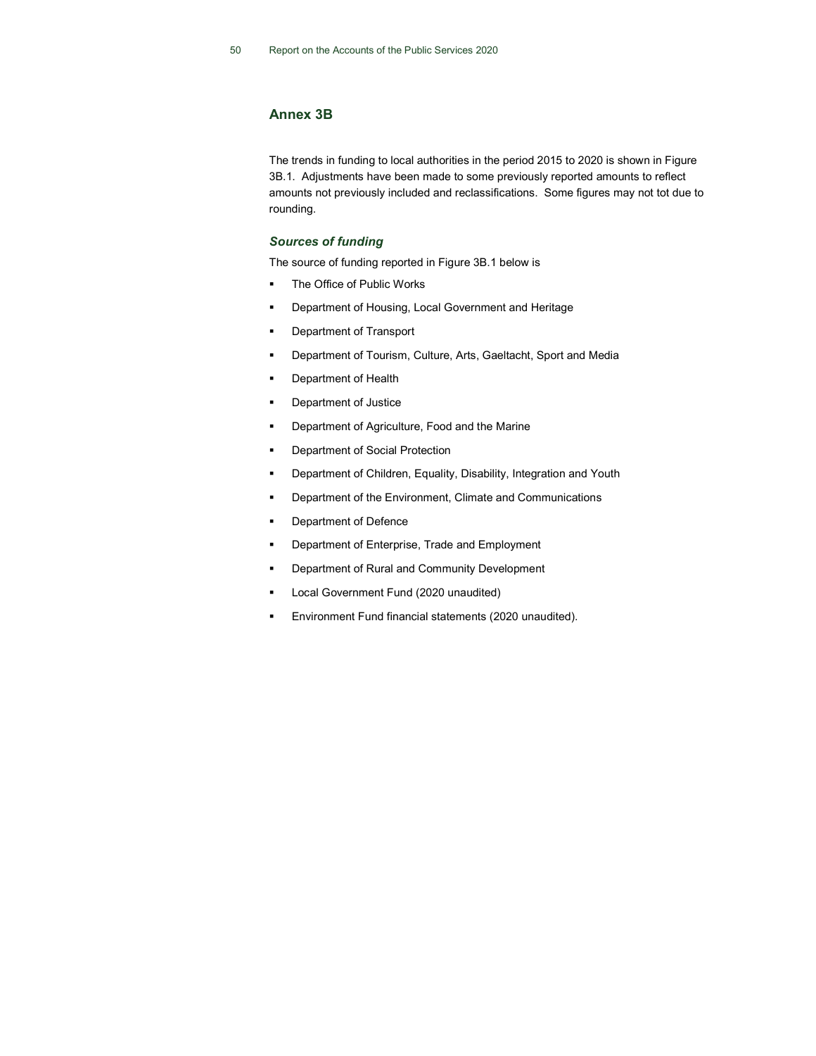## Annex 3B

The trends in funding to local authorities in the period 2015 to 2020 is shown in Figure 3B.1. Adjustments have been made to some previously reported amounts to reflect amounts not previously included and reclassifications. Some figures may not tot due to rounding.

#### Sources of funding

The source of funding reported in Figure 3B.1 below is

- **The Office of Public Works**
- Department of Housing, Local Government and Heritage
- **•** Department of Transport
- Department of Tourism, Culture, Arts, Gaeltacht, Sport and Media
- Department of Health
- Department of Justice
- Department of Agriculture, Food and the Marine
- Department of Social Protection
- **•** Department of Children, Equality, Disability, Integration and Youth
- Department of the Environment, Climate and Communications
- Department of Defence
- Department of Enterprise, Trade and Employment
- Department of Rural and Community Development
- Local Government Fund (2020 unaudited)
- Environment Fund financial statements (2020 unaudited).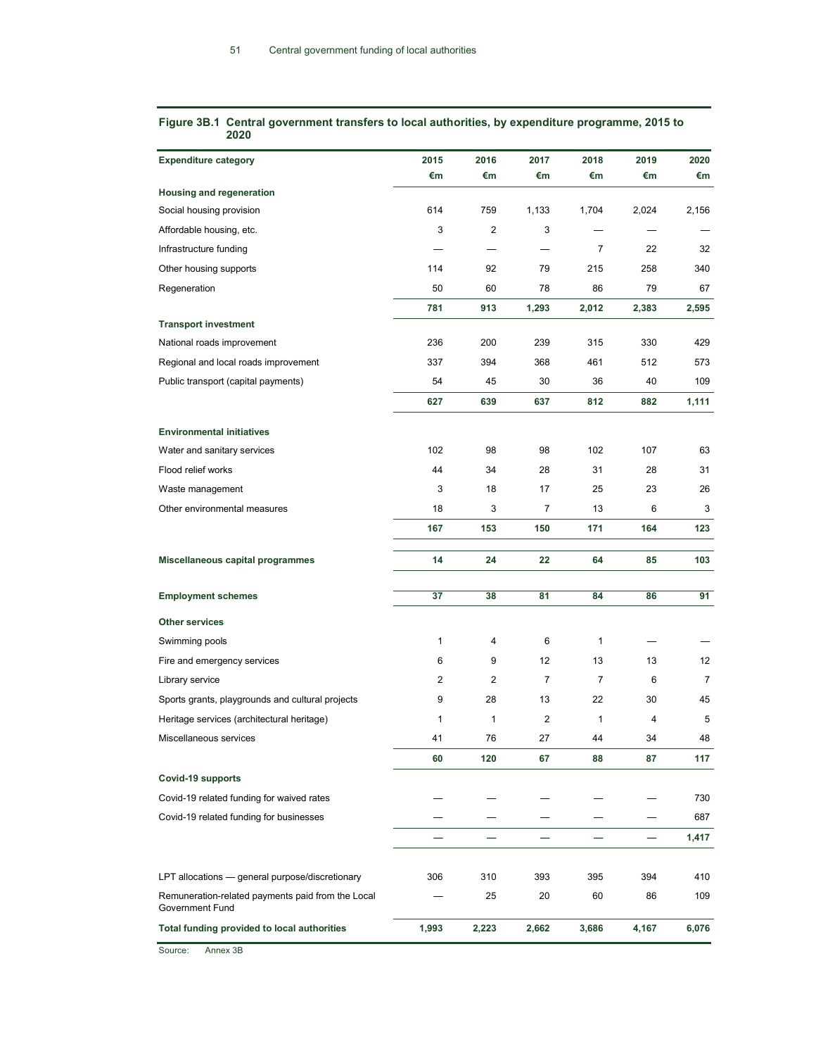| <b>Expenditure category</b>                       | 2015  | 2016           | 2017           | 2018           | 2019  | 2020           |
|---------------------------------------------------|-------|----------------|----------------|----------------|-------|----------------|
|                                                   | €m    | €m             | €m             | €m             | €m    | €m             |
| <b>Housing and regeneration</b>                   |       |                |                |                |       |                |
| Social housing provision                          | 614   | 759            | 1,133          | 1,704          | 2,024 | 2,156          |
| Affordable housing, etc.                          | 3     | $\overline{2}$ | 3              |                |       |                |
| Infrastructure funding                            |       |                |                | $\overline{7}$ | 22    | 32             |
| Other housing supports                            | 114   | 92             | 79             | 215            | 258   | 340            |
| Regeneration                                      | 50    | 60             | 78             | 86             | 79    | 67             |
|                                                   | 781   | 913            | 1,293          | 2,012          | 2,383 | 2,595          |
| <b>Transport investment</b>                       |       |                |                |                |       |                |
| National roads improvement                        | 236   | 200            | 239            | 315            | 330   | 429            |
| Regional and local roads improvement              | 337   | 394            | 368            | 461            | 512   | 573            |
| Public transport (capital payments)               | 54    | 45             | 30             | 36             | 40    | 109            |
|                                                   | 627   | 639            | 637            | 812            | 882   | 1,111          |
| <b>Environmental initiatives</b>                  |       |                |                |                |       |                |
| Water and sanitary services                       | 102   | 98             | 98             | 102            | 107   | 63             |
| Flood relief works                                | 44    | 34             | 28             | 31             | 28    | 31             |
| Waste management                                  | 3     | 18             | 17             | 25             | 23    | 26             |
| Other environmental measures                      | 18    | 3              | 7              | 13             | 6     | 3              |
|                                                   | 167   | 153            | 150            | 171            | 164   | 123            |
| Miscellaneous capital programmes                  | 14    | 24             | 22             | 64             | 85    | 103            |
|                                                   |       |                |                |                |       |                |
| <b>Employment schemes</b>                         | 37    | 38             | 81             | 84             | 86    | 91             |
| <b>Other services</b>                             |       |                |                |                |       |                |
| Swimming pools                                    | 1     | 4              | 6              | 1              |       |                |
| Fire and emergency services                       | 6     | 9              | 12             | 13             | 13    | 12             |
| Library service                                   | 2     | 2              | $\overline{7}$ | $\overline{7}$ | 6     | $\overline{7}$ |
| Sports grants, playgrounds and cultural projects  | 9     | 28             | 13             | 22             | 30    | 45             |
| Heritage services (architectural heritage)        | 1     | $\mathbf{1}$   | 2              | $\mathbf{1}$   | 4     | 5              |
| Miscellaneous services                            | 41    | 76             | 27             | 44             | 34    | 48             |
|                                                   | 60    | 120            | 67             | 88             | 87    | 117            |
| Covid-19 supports                                 |       |                |                |                |       |                |
| Covid-19 related funding for waived rates         |       |                |                |                |       | 730            |
| Covid-19 related funding for businesses           |       |                |                |                |       | 687            |
|                                                   |       |                |                |                |       | 1,417          |
| LPT allocations - general purpose/discretionary   | 306   | 310            | 393            | 395            | 394   | 410            |
| Remuneration-related payments paid from the Local |       | 25             | 20             | 60             | 86    | 109            |
| Government Fund                                   |       |                |                |                |       |                |
| Total funding provided to local authorities       | 1,993 | 2,223          | 2,662          | 3,686          | 4,167 | 6,076          |

#### Figure 3B.1 Central government transfers to local authorities, by expenditure programme, 2015 to 2020

Source: Annex 3B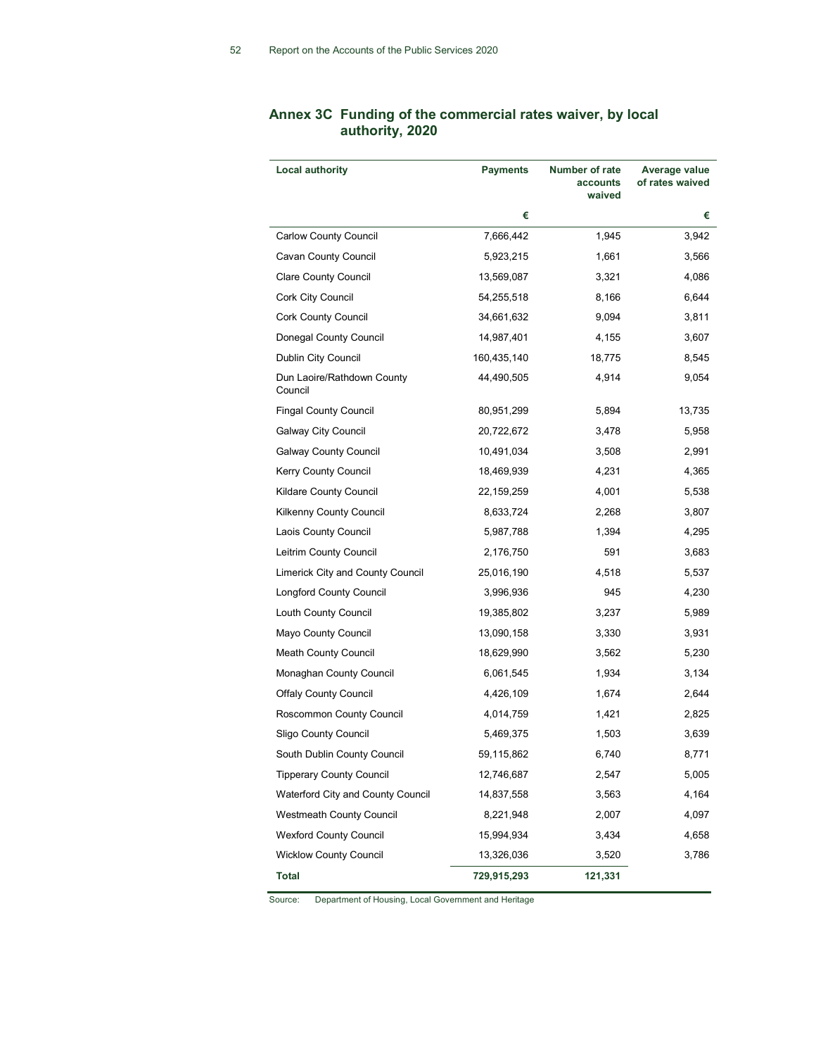| <b>Local authority</b>                | Payments    | Number of rate<br>accounts<br>waived | Average value<br>of rates waived |
|---------------------------------------|-------------|--------------------------------------|----------------------------------|
|                                       | €           |                                      | €                                |
| <b>Carlow County Council</b>          | 7,666,442   | 1,945                                | 3,942                            |
| Cavan County Council                  | 5,923,215   | 1,661                                | 3,566                            |
| Clare County Council                  | 13,569,087  | 3,321                                | 4,086                            |
| Cork City Council                     | 54,255,518  | 8,166                                | 6,644                            |
| Cork County Council                   | 34,661,632  | 9,094                                | 3,811                            |
| Donegal County Council                | 14,987,401  | 4,155                                | 3,607                            |
| Dublin City Council                   | 160,435,140 | 18,775                               | 8,545                            |
| Dun Laoire/Rathdown County<br>Council | 44,490,505  | 4,914                                | 9,054                            |
| <b>Fingal County Council</b>          | 80,951,299  | 5,894                                | 13,735                           |
| Galway City Council                   | 20,722,672  | 3,478                                | 5,958                            |
| <b>Galway County Council</b>          | 10,491,034  | 3,508                                | 2,991                            |
| Kerry County Council                  | 18,469,939  | 4,231                                | 4,365                            |
| Kildare County Council                | 22,159,259  | 4,001                                | 5,538                            |
| Kilkenny County Council               | 8,633,724   | 2,268                                | 3,807                            |
| Laois County Council                  | 5,987,788   | 1,394                                | 4,295                            |
| Leitrim County Council                | 2,176,750   | 591                                  | 3,683                            |
| Limerick City and County Council      | 25,016,190  | 4,518                                | 5,537                            |
| Longford County Council               | 3,996,936   | 945                                  | 4,230                            |
| Louth County Council                  | 19,385,802  | 3,237                                | 5,989                            |
| Mayo County Council                   | 13,090,158  | 3,330                                | 3,931                            |
| <b>Meath County Council</b>           | 18,629,990  | 3,562                                | 5,230                            |
| Monaghan County Council               | 6,061,545   | 1,934                                | 3,134                            |
| <b>Offaly County Council</b>          | 4,426,109   | 1,674                                | 2,644                            |
| Roscommon County Council              | 4,014,759   | 1,421                                | 2,825                            |
| Sligo County Council                  | 5,469,375   | 1,503                                | 3,639                            |
| South Dublin County Council           | 59,115,862  | 6,740                                | 8,771                            |
| <b>Tipperary County Council</b>       | 12,746,687  | 2,547                                | 5,005                            |
| Waterford City and County Council     | 14,837,558  | 3,563                                | 4,164                            |
| <b>Westmeath County Council</b>       | 8,221,948   | 2,007                                | 4,097                            |
| <b>Wexford County Council</b>         | 15,994,934  | 3,434                                | 4,658                            |
| <b>Wicklow County Council</b>         | 13,326,036  | 3,520                                | 3,786                            |
| Total                                 | 729,915,293 | 121,331                              |                                  |

# Annex 3C Funding of the commercial rates waiver, by local authority, 2020

Source: Department of Housing, Local Government and Heritage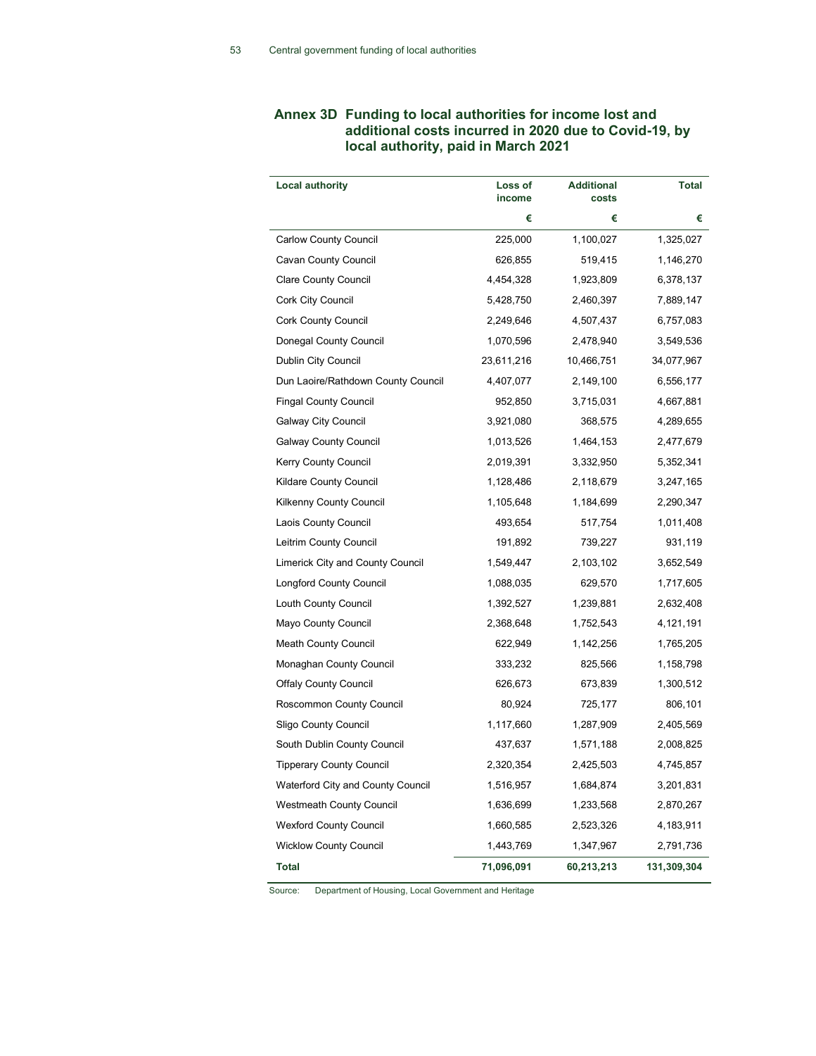# Annex 3D Funding to local authorities for income lost and additional costs incurred in 2020 due to Covid-19, by local authority, paid in March 2021

| <b>Local authority</b>             | Loss of<br>income | <b>Additional</b><br>costs | Total       |
|------------------------------------|-------------------|----------------------------|-------------|
|                                    | €                 | €                          | €           |
| Carlow County Council              | 225,000           | 1,100,027                  | 1,325,027   |
| Cavan County Council               | 626,855           | 519,415                    | 1,146,270   |
| Clare County Council               | 4,454,328         | 1,923,809                  | 6,378,137   |
| Cork City Council                  | 5,428,750         | 2,460,397                  | 7,889,147   |
| <b>Cork County Council</b>         | 2,249,646         | 4,507,437                  | 6,757,083   |
| Donegal County Council             | 1,070,596         | 2,478,940                  | 3,549,536   |
| Dublin City Council                | 23,611,216        | 10,466,751                 | 34,077,967  |
| Dun Laoire/Rathdown County Council | 4,407,077         | 2,149,100                  | 6,556,177   |
| <b>Fingal County Council</b>       | 952,850           | 3,715,031                  | 4,667,881   |
| <b>Galway City Council</b>         | 3,921,080         | 368,575                    | 4,289,655   |
| Galway County Council              | 1,013,526         | 1,464,153                  | 2,477,679   |
| Kerry County Council               | 2,019,391         | 3,332,950                  | 5,352,341   |
| Kildare County Council             | 1,128,486         | 2,118,679                  | 3,247,165   |
| <b>Kilkenny County Council</b>     | 1,105,648         | 1,184,699                  | 2,290,347   |
| Laois County Council               | 493,654           | 517,754                    | 1,011,408   |
| Leitrim County Council             | 191,892           | 739,227                    | 931,119     |
| Limerick City and County Council   | 1,549,447         | 2,103,102                  | 3,652,549   |
| Longford County Council            | 1,088,035         | 629,570                    | 1,717,605   |
| Louth County Council               | 1,392,527         | 1,239,881                  | 2,632,408   |
| Mayo County Council                | 2,368,648         | 1,752,543                  | 4,121,191   |
| <b>Meath County Council</b>        | 622,949           | 1,142,256                  | 1,765,205   |
| Monaghan County Council            | 333,232           | 825,566                    | 1,158,798   |
| <b>Offaly County Council</b>       | 626,673           | 673,839                    | 1,300,512   |
| Roscommon County Council           | 80,924            | 725,177                    | 806,101     |
| Sligo County Council               | 1,117,660         | 1,287,909                  | 2,405,569   |
| South Dublin County Council        | 437,637           | 1,571,188                  | 2,008,825   |
| Tipperary County Council           | 2,320,354         | 2,425,503                  | 4,745,857   |
| Waterford City and County Council  | 1,516,957         | 1,684,874                  | 3,201,831   |
| <b>Westmeath County Council</b>    | 1,636,699         | 1,233,568                  | 2,870,267   |
| <b>Wexford County Council</b>      | 1,660,585         | 2,523,326                  | 4,183,911   |
| <b>Wicklow County Council</b>      | 1,443,769         | 1,347,967                  | 2,791,736   |
| <b>Total</b>                       | 71,096,091        | 60,213,213                 | 131,309,304 |

Source: Department of Housing, Local Government and Heritage